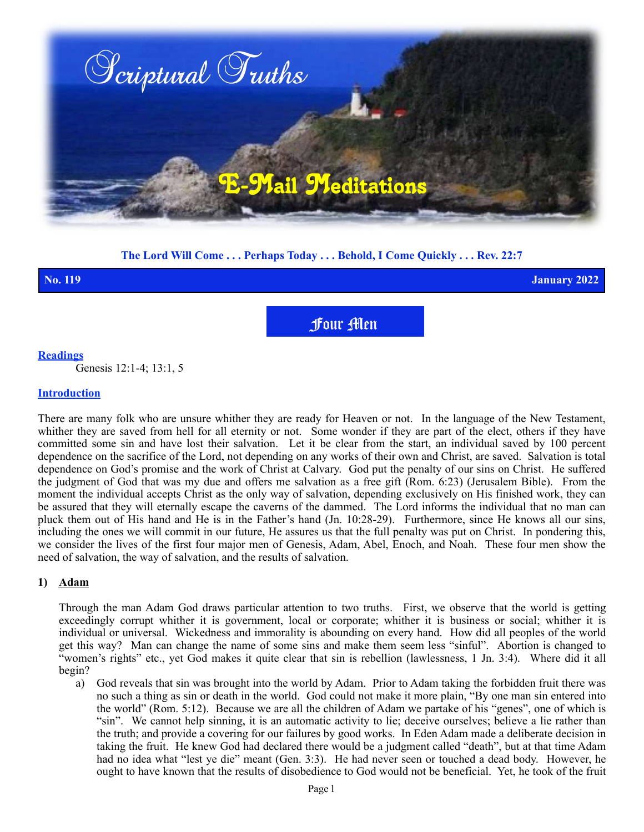

**The Lord Will Come . . . Perhaps Today . . . Behold, I Come Quickly . . . Rev. 22:7**

**No. 119 January 2022**

Four Men

## **Readings**

Genesis 12:1-4; 13:1, 5

#### **Introduction**

There are many folk who are unsure whither they are ready for Heaven or not. In the language of the New Testament, whither they are saved from hell for all eternity or not. Some wonder if they are part of the elect, others if they have committed some sin and have lost their salvation. Let it be clear from the start, an individual saved by 100 percent dependence on the sacrifice of the Lord, not depending on any works of their own and Christ, are saved. Salvation is total dependence on God's promise and the work of Christ at Calvary. God put the penalty of our sins on Christ. He suffered the judgment of God that was my due and offers me salvation as a free gift (Rom. 6:23) (Jerusalem Bible). From the moment the individual accepts Christ as the only way of salvation, depending exclusively on His finished work, they can be assured that they will eternally escape the caverns of the dammed. The Lord informs the individual that no man can pluck them out of His hand and He is in the Father's hand (Jn. 10:28-29). Furthermore, since He knows all our sins, including the ones we will commit in our future, He assures us that the full penalty was put on Christ. In pondering this, we consider the lives of the first four major men of Genesis, Adam, Abel, Enoch, and Noah. These four men show the need of salvation, the way of salvation, and the results of salvation.

## **1) Adam**

Through the man Adam God draws particular attention to two truths. First, we observe that the world is getting exceedingly corrupt whither it is government, local or corporate; whither it is business or social; whither it is individual or universal. Wickedness and immorality is abounding on every hand. How did all peoples of the world get this way? Man can change the name of some sins and make them seem less "sinful". Abortion is changed to "women's rights" etc., yet God makes it quite clear that sin is rebellion (lawlessness, 1 Jn. 3:4). Where did it all begin?

a) God reveals that sin was brought into the world by Adam. Prior to Adam taking the forbidden fruit there was no such a thing as sin or death in the world. God could not make it more plain, "By one man sin entered into the world" (Rom. 5:12). Because we are all the children of Adam we partake of his "genes", one of which is "sin". We cannot help sinning, it is an automatic activity to lie; deceive ourselves; believe a lie rather than the truth; and provide a covering for our failures by good works. In Eden Adam made a deliberate decision in taking the fruit. He knew God had declared there would be a judgment called "death", but at that time Adam had no idea what "lest ye die" meant (Gen. 3:3). He had never seen or touched a dead body. However, he ought to have known that the results of disobedience to God would not be beneficial. Yet, he took of the fruit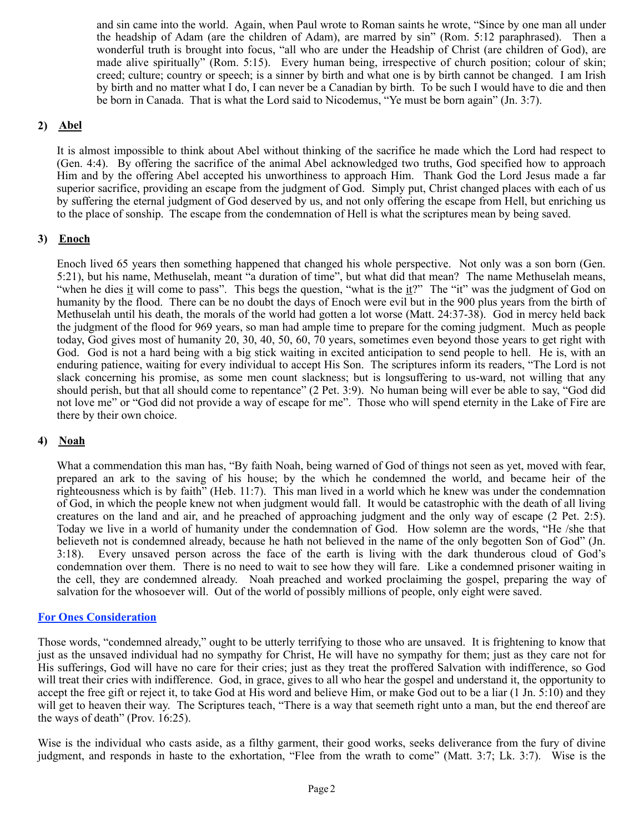and sin came into the world. Again, when Paul wrote to Roman saints he wrote, "Since by one man all under the headship of Adam (are the children of Adam), are marred by sin" (Rom. 5:12 paraphrased). Then a wonderful truth is brought into focus, "all who are under the Headship of Christ (are children of God), are made alive spiritually" (Rom. 5:15). Every human being, irrespective of church position; colour of skin; creed; culture; country or speech; is a sinner by birth and what one is by birth cannot be changed. I am Irish by birth and no matter what I do, I can never be a Canadian by birth. To be such I would have to die and then be born in Canada. That is what the Lord said to Nicodemus, "Ye must be born again" (Jn. 3:7).

# **2) Abel**

It is almost impossible to think about Abel without thinking of the sacrifice he made which the Lord had respect to (Gen. 4:4). By offering the sacrifice of the animal Abel acknowledged two truths, God specified how to approach Him and by the offering Abel accepted his unworthiness to approach Him. Thank God the Lord Jesus made a far superior sacrifice, providing an escape from the judgment of God. Simply put, Christ changed places with each of us by suffering the eternal judgment of God deserved by us, and not only offering the escape from Hell, but enriching us to the place of sonship. The escape from the condemnation of Hell is what the scriptures mean by being saved.

# **3) Enoch**

Enoch lived 65 years then something happened that changed his whole perspective. Not only was a son born (Gen. 5:21), but his name, Methuselah, meant "a duration of time", but what did that mean? The name Methuselah means, "when he dies it will come to pass". This begs the question, "what is the it?" The "it" was the judgment of God on humanity by the flood. There can be no doubt the days of Enoch were evil but in the 900 plus years from the birth of Methuselah until his death, the morals of the world had gotten a lot worse (Matt. 24:37-38). God in mercy held back the judgment of the flood for 969 years, so man had ample time to prepare for the coming judgment. Much as people today, God gives most of humanity 20, 30, 40, 50, 60, 70 years, sometimes even beyond those years to get right with God. God is not a hard being with a big stick waiting in excited anticipation to send people to hell. He is, with an enduring patience, waiting for every individual to accept His Son. The scriptures inform its readers, "The Lord is not slack concerning his promise, as some men count slackness; but is longsuffering to us-ward, not willing that any should perish, but that all should come to repentance" (2 Pet. 3:9). No human being will ever be able to say, "God did not love me" or "God did not provide a way of escape for me". Those who will spend eternity in the Lake of Fire are there by their own choice.

## **4) Noah**

What a commendation this man has, "By faith Noah, being warned of God of things not seen as yet, moved with fear, prepared an ark to the saving of his house; by the which he condemned the world, and became heir of the righteousness which is by faith" (Heb. 11:7). This man lived in a world which he knew was under the condemnation of God, in which the people knew not when judgment would fall. It would be catastrophic with the death of all living creatures on the land and air, and he preached of approaching judgment and the only way of escape (2 Pet. 2:5). Today we live in a world of humanity under the condemnation of God. How solemn are the words, "He /she that believeth not is condemned already, because he hath not believed in the name of the only begotten Son of God" (Jn. 3:18). Every unsaved person across the face of the earth is living with the dark thunderous cloud of God's condemnation over them. There is no need to wait to see how they will fare. Like a condemned prisoner waiting in the cell, they are condemned already. Noah preached and worked proclaiming the gospel, preparing the way of salvation for the whosoever will. Out of the world of possibly millions of people, only eight were saved.

#### **For Ones Consideration**

Those words, "condemned already," ought to be utterly terrifying to those who are unsaved. It is frightening to know that just as the unsaved individual had no sympathy for Christ, He will have no sympathy for them; just as they care not for His sufferings, God will have no care for their cries; just as they treat the proffered Salvation with indifference, so God will treat their cries with indifference. God, in grace, gives to all who hear the gospel and understand it, the opportunity to accept the free gift or reject it, to take God at His word and believe Him, or make God out to be a liar (1 Jn. 5:10) and they will get to heaven their way. The Scriptures teach, "There is a way that seemeth right unto a man, but the end thereof are the ways of death" (Prov. 16:25).

Wise is the individual who casts aside, as a filthy garment, their good works, seeks deliverance from the fury of divine judgment, and responds in haste to the exhortation, "Flee from the wrath to come" (Matt. 3:7; Lk. 3:7). Wise is the